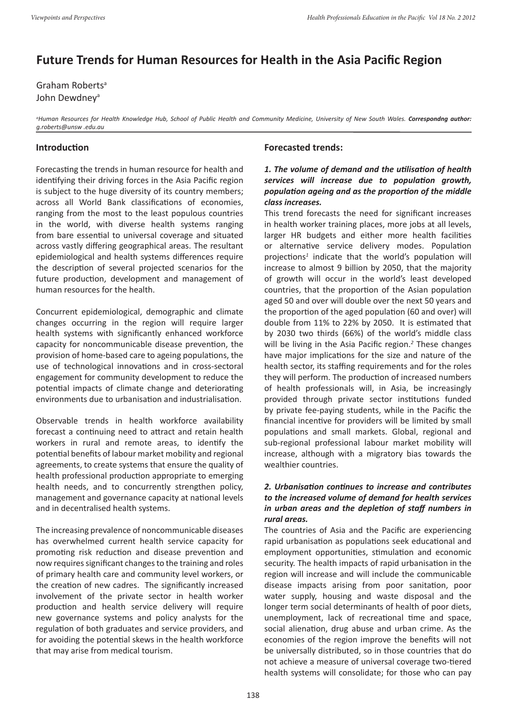# **Future Trends for Human Resources for Health in the Asia Pacific Region**

Graham Roberts<sup>a</sup> John Dewdney<sup>a</sup>

*a Human Resources for Health Knowledge Hub, School of Public Health and Community Medicine, University of New South Wales. Correspondng author: g.roberts@unsw .edu.au*

## **Introduction**

Forecasting the trends in human resource for health and identifying their driving forces in the Asia Pacific region is subject to the huge diversity of its country members; across all World Bank classifications of economies, ranging from the most to the least populous countries in the world, with diverse health systems ranging from bare essential to universal coverage and situated across vastly differing geographical areas. The resultant epidemiological and health systems differences require the description of several projected scenarios for the future production, development and management of human resources for the health.

Concurrent epidemiological, demographic and climate changes occurring in the region will require larger health systems with significantly enhanced workforce capacity for noncommunicable disease prevention, the provision of home-based care to ageing populations, the use of technological innovations and in cross-sectoral engagement for community development to reduce the potential impacts of climate change and deteriorating environments due to urbanisation and industrialisation.

Observable trends in health workforce availability forecast a continuing need to attract and retain health workers in rural and remote areas, to identify the potential benefits of labour market mobility and regional agreements, to create systems that ensure the quality of health professional production appropriate to emerging health needs, and to concurrently strengthen policy, management and governance capacity at national levels and in decentralised health systems.

The increasing prevalence of noncommunicable diseases has overwhelmed current health service capacity for promoting risk reduction and disease prevention and now requires significant changes to the training and roles of primary health care and community level workers, or the creation of new cadres. The significantly increased involvement of the private sector in health worker production and health service delivery will require new governance systems and policy analysts for the regulation of both graduates and service providers, and for avoiding the potential skews in the health workforce that may arise from medical tourism.

#### **Forecasted trends:**

## *1. The volume of demand and the utilisation of health services will increase due to population growth, population ageing and as the proportion of the middle class increases.*

This trend forecasts the need for significant increases in health worker training places, more jobs at all levels, larger HR budgets and either more health facilities or alternative service delivery modes. Population projections*<sup>1</sup>* indicate that the world's population will increase to almost 9 billion by 2050, that the majority of growth will occur in the world's least developed countries, that the proportion of the Asian population aged 50 and over will double over the next 50 years and the proportion of the aged population (60 and over) will double from 11% to 22% by 2050. It is estimated that by 2030 two thirds (66%) of the world's middle class will be living in the Asia Pacific region.*<sup>2</sup>* These changes have major implications for the size and nature of the health sector, its staffing requirements and for the roles they will perform. The production of increased numbers of health professionals will, in Asia, be increasingly provided through private sector institutions funded by private fee-paying students, while in the Pacific the financial incentive for providers will be limited by small populations and small markets. Global, regional and sub-regional professional labour market mobility will increase, although with a migratory bias towards the wealthier countries.

## *2. Urbanisation continues to increase and contributes to the increased volume of demand for health services in urban areas and the depletion of staff numbers in rural areas.*

The countries of Asia and the Pacific are experiencing rapid urbanisation as populations seek educational and employment opportunities, stimulation and economic security. The health impacts of rapid urbanisation in the region will increase and will include the communicable disease impacts arising from poor sanitation, poor water supply, housing and waste disposal and the longer term social determinants of health of poor diets, unemployment, lack of recreational time and space, social alienation, drug abuse and urban crime. As the economies of the region improve the benefits will not be universally distributed, so in those countries that do not achieve a measure of universal coverage two-tiered health systems will consolidate; for those who can pay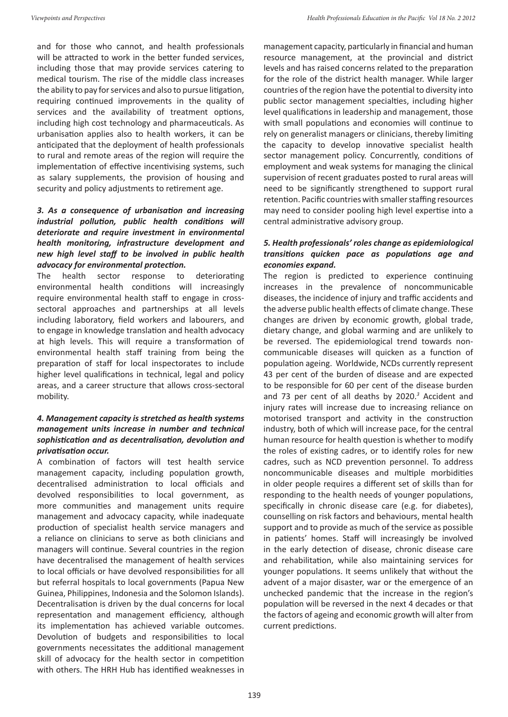will be attracted to work in the better funded services. including those that may provide services catering to medical tourism. The rise of the middle class increases the ability to pay for services and also to pursue litigation, requiring continued improvements in the quality of services and the availability of treatment options, including high cost technology and pharmaceuticals. As urbanisation applies also to health workers, it can be anticipated that the deployment of health professionals to rural and remote areas of the region will require the implementation of effective incentivising systems, such as salary supplements, the provision of housing and security and policy adjustments to retirement age.

## *3. As a consequence of urbanisation and increasing industrial pollution, public health conditions will deteriorate and require investment in environmental health monitoring, infrastructure development and new high level staff to be involved in public health advocacy for environmental protection.*

The health sector response to deteriorating environmental health conditions will increasingly require environmental health staff to engage in crosssectoral approaches and partnerships at all levels including laboratory, field workers and labourers, and to engage in knowledge translation and health advocacy at high levels. This will require a transformation of environmental health staff training from being the preparation of staff for local inspectorates to include higher level qualifications in technical, legal and policy areas, and a career structure that allows cross-sectoral mobility.

## *4. Management capacity is stretched as health systems management units increase in number and technical sophistication and as decentralisation, devolution and privatisation occur.*

A combination of factors will test health service management capacity, including population growth, decentralised administration to local officials and devolved responsibilities to local government, as more communities and management units require management and advocacy capacity, while inadequate production of specialist health service managers and a reliance on clinicians to serve as both clinicians and managers will continue. Several countries in the region have decentralised the management of health services to local officials or have devolved responsibilities for all but referral hospitals to local governments (Papua New Guinea, Philippines, Indonesia and the Solomon Islands). Decentralisation is driven by the dual concerns for local representation and management efficiency, although its implementation has achieved variable outcomes. Devolution of budgets and responsibilities to local governments necessitates the additional management skill of advocacy for the health sector in competition with others. The HRH Hub has identified weaknesses in management capacity, particularly in financial and human resource management, at the provincial and district levels and has raised concerns related to the preparation for the role of the district health manager. While larger countries of the region have the potential to diversity into public sector management specialties, including higher level qualifications in leadership and management, those with small populations and economies will continue to rely on generalist managers or clinicians, thereby limiting the capacity to develop innovative specialist health sector management policy. Concurrently, conditions of employment and weak systems for managing the clinical supervision of recent graduates posted to rural areas will need to be significantly strengthened to support rural retention. Pacific countries with smaller staffing resources may need to consider pooling high level expertise into a central administrative advisory group.

## *5. Health professionals' roles change as epidemiological transitions quicken pace as populations age and economies expand.*

The region is predicted to experience continuing increases in the prevalence of noncommunicable diseases, the incidence of injury and traffic accidents and the adverse public health effects of climate change. These changes are driven by economic growth, global trade, dietary change, and global warming and are unlikely to be reversed. The epidemiological trend towards noncommunicable diseases will quicken as a function of population ageing. Worldwide, NCDs currently represent 43 per cent of the burden of disease and are expected to be responsible for 60 per cent of the disease burden and 73 per cent of all deaths by 2020.*<sup>3</sup>* Accident and injury rates will increase due to increasing reliance on motorised transport and activity in the construction industry, both of which will increase pace, for the central human resource for health question is whether to modify the roles of existing cadres, or to identify roles for new cadres, such as NCD prevention personnel. To address noncommunicable diseases and multiple morbidities in older people requires a different set of skills than for responding to the health needs of younger populations, specifically in chronic disease care (e.g. for diabetes), counselling on risk factors and behaviours, mental health support and to provide as much of the service as possible in patients' homes. Staff will increasingly be involved in the early detection of disease, chronic disease care and rehabilitation, while also maintaining services for younger populations. It seems unlikely that without the advent of a major disaster, war or the emergence of an unchecked pandemic that the increase in the region's population will be reversed in the next 4 decades or that the factors of ageing and economic growth will alter from current predictions.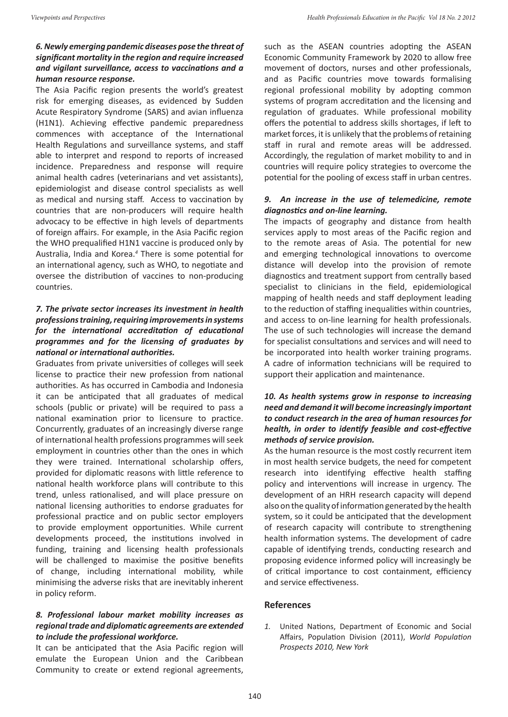## *6. Newly emerging pandemic diseases pose the threat of significant mortality in the region and require increased and vigilant surveillance, access to vaccinations and a human resource response.*

The Asia Pacific region presents the world's greatest risk for emerging diseases, as evidenced by Sudden Acute Respiratory Syndrome (SARS) and avian influenza (H1N1). Achieving effective pandemic preparedness commences with acceptance of the International Health Regulations and surveillance systems, and staff able to interpret and respond to reports of increased incidence. Preparedness and response will require animal health cadres (veterinarians and vet assistants), epidemiologist and disease control specialists as well as medical and nursing staff. Access to vaccination by countries that are non-producers will require health advocacy to be effective in high levels of departments of foreign affairs. For example, in the Asia Pacific region the WHO prequalified H1N1 vaccine is produced only by Australia, India and Korea.*<sup>4</sup>* There is some potential for an international agency, such as WHO, to negotiate and oversee the distribution of vaccines to non-producing countries.

## *7. The private sector increases its investment in health professions training, requiring improvements in systems for the international accreditation of educational programmes and for the licensing of graduates by national or international authorities.*

Graduates from private universities of colleges will seek license to practice their new profession from national authorities. As has occurred in Cambodia and Indonesia it can be anticipated that all graduates of medical schools (public or private) will be required to pass a national examination prior to licensure to practice. Concurrently, graduates of an increasingly diverse range of international health professions programmes will seek employment in countries other than the ones in which they were trained. International scholarship offers, provided for diplomatic reasons with little reference to national health workforce plans will contribute to this trend, unless rationalised, and will place pressure on national licensing authorities to endorse graduates for professional practice and on public sector employers to provide employment opportunities. While current developments proceed, the institutions involved in funding, training and licensing health professionals will be challenged to maximise the positive benefits of change, including international mobility, while minimising the adverse risks that are inevitably inherent in policy reform.

#### *8. Professional labour market mobility increases as regional trade and diplomatic agreements are extended to include the professional workforce.*

It can be anticipated that the Asia Pacific region will emulate the European Union and the Caribbean Community to create or extend regional agreements,

such as the ASEAN countries adopting the ASEAN Economic Community Framework by 2020 to allow free movement of doctors, nurses and other professionals, and as Pacific countries move towards formalising regional professional mobility by adopting common systems of program accreditation and the licensing and regulation of graduates. While professional mobility offers the potential to address skills shortages, if left to market forces, it is unlikely that the problems of retaining staff in rural and remote areas will be addressed. Accordingly, the regulation of market mobility to and in countries will require policy strategies to overcome the potential for the pooling of excess staff in urban centres.

#### *9. An increase in the use of telemedicine, remote diagnostics and on-line learning.*

The impacts of geography and distance from health services apply to most areas of the Pacific region and to the remote areas of Asia. The potential for new and emerging technological innovations to overcome distance will develop into the provision of remote diagnostics and treatment support from centrally based specialist to clinicians in the field, epidemiological mapping of health needs and staff deployment leading to the reduction of staffing inequalities within countries, and access to on-line learning for health professionals. The use of such technologies will increase the demand for specialist consultations and services and will need to be incorporated into health worker training programs. A cadre of information technicians will be required to support their application and maintenance.

### *10. As health systems grow in response to increasing need and demand it will become increasingly important to conduct research in the area of human resources for health, in order to identify feasible and cost-effective methods of service provision.*

As the human resource is the most costly recurrent item in most health service budgets, the need for competent research into identifying effective health staffing policy and interventions will increase in urgency. The development of an HRH research capacity will depend also on the quality of information generated by the health system, so it could be anticipated that the development of research capacity will contribute to strengthening health information systems. The development of cadre capable of identifying trends, conducting research and proposing evidence informed policy will increasingly be of critical importance to cost containment, efficiency and service effectiveness.

#### **References**

*1.* United Nations, Department of Economic and Social Affairs, Population Division (2011), *World Population Prospects 2010, New York*